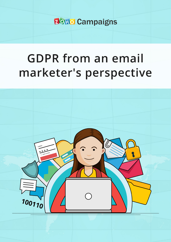**20Hol Campaigns** 

# **GDPR from an email** marketer's perspective

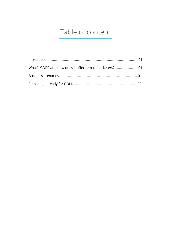# Table of content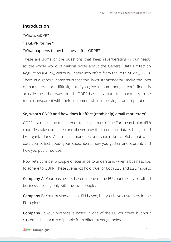# <span id="page-2-0"></span>**Introduction**

#### "What's GDPR?"

#### "Is GDPR for me?"

#### "What happens to my business after GDPR?"

These are some of the questions that keep reverberating in our heads as the whole world is making noise about the General Data Protection Regulation (GDPR), which will come into effect from the 25th of May, 2018. There is a general consensus that this law's stringency will make the lives of marketers more difficult, but if you give it some thought, you'll find it is actually the other way round—GDPR has set a path for marketers to be more transparent with their customers while improving brand reputation.

#### **So, what's GDPR and how does it affect (read: help) email marketers?**

GDPR is a regulation that intends to help citizens of the European Union (EU) countries take complete control over how their personal data is being used by organizations. As an email marketer, you should be careful about what data you collect about your subscribers, how you gather and store it, and how you put it into use.

Now, let's consider a couple of scenarios to understand when a business has to adhere to GDPR. These scenarios hold true for both B2B and B2C models.

**Company A:** Your business is based in one of the EU countries—a localized business, dealing only with the local people.

**Company B:** Your business is not EU based, but you have customers in the EU regions.

**Company C**: Your business is based in one of the EU countries, but your customer list is a mix of people from different geographies.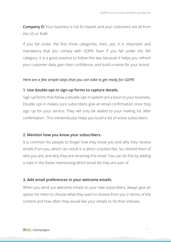<span id="page-3-0"></span>**Company D:** Your business is not EU based, and your customers are all from the US or RoW.

If you fall under the first three categories, then, yes, it is important and mandatory that you comply with GDPR. Even if you fall under the 4th category, it is a good practice to follow this law, because it helps you refresh your customer data, gain their confidence, and build a name for your brand.

### *Here are a few simple steps that you can take to get ready for GDPR:*

# **1. Use double-opt-in sign-up forms to capture details.**

Sign-up forms that follow a double-opt-in system are a boon to your business. Double opt-in makes sure subscribers give an email confirmation once they sign up for your service. They will only be added to your mailing list after confirmation. This tremendously helps you build a list of active subscribers.

# **2. Mention how you know your subscribers.**

It is common for people to forget how they know you and why they receive emails from you, which can result in a direct unsubscribe. So, remind them of who you are, and why they are receiving this email. You can do this by adding a note in the footer mentioning which email list they are part of.

# **3. Add email preferences in your welcome emails.**

When you send out welcome emails to your new subscribers, always give an option for them to choose what they want to receive from you in terms of the content and how often they would like your emails to hit their inboxes.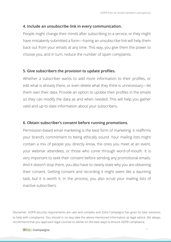# **4. Include an unsubscribe link in every communication.**

People might change their minds after subscribing to a service, or they might have mistakenly submitted a form—having an unsubscribe link will help them back out from your emails at any time. This way, you give them the power to choose you, and in turn, reduce the number of spam complaints.

### **5. Give subscribers the provision to update profiles.**

Whether a subscriber wants to add more information to their profiles, or edit what is already there, or even delete what they think is unnecessary—let them own their data. Provide an option to update their profiles in the emails so they can modify the data as and when needed. This will help you gather valid and up-to-date information about your subscribers.

# **6. Obtain subscriber's consent before running promotions.**

Permission-based email marketing is the best form of marketing; it reaffirms your brand's commitment to being ethically sound. Your mailing lists might contain a mix of people you directly know, the ones you meet at an event, your webinar attendees, or those who come through word-of-mouth. It is very important to seek their consent before sending any promotional emails. And it doesn't stop there, you also have to clearly state why you are obtaining their consent. Getting consent and recording it might seem like a daunting task, but it is worth it. In the process, you also scrub your mailing lists of inactive subscribers.

Disclaimer: GDPR security requirements are vast and complex and Zoho Campaigns has given its best solutions to help with compliance. You should in no way take the above mentioned information as legal advice. We always recommend that you approach legal counsel to advise on the best ways to ensure GDPR compliance.